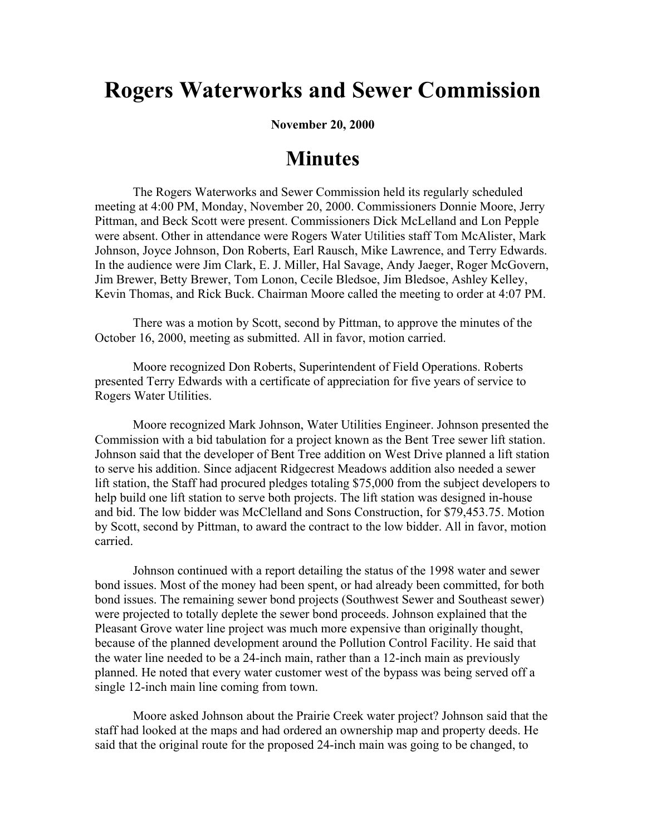## **Rogers Waterworks and Sewer Commission**

**November 20, 2000**

## **Minutes**

The Rogers Waterworks and Sewer Commission held its regularly scheduled meeting at 4:00 PM, Monday, November 20, 2000. Commissioners Donnie Moore, Jerry Pittman, and Beck Scott were present. Commissioners Dick McLelland and Lon Pepple were absent. Other in attendance were Rogers Water Utilities staff Tom McAlister, Mark Johnson, Joyce Johnson, Don Roberts, Earl Rausch, Mike Lawrence, and Terry Edwards. In the audience were Jim Clark, E. J. Miller, Hal Savage, Andy Jaeger, Roger McGovern, Jim Brewer, Betty Brewer, Tom Lonon, Cecile Bledsoe, Jim Bledsoe, Ashley Kelley, Kevin Thomas, and Rick Buck. Chairman Moore called the meeting to order at 4:07 PM.

There was a motion by Scott, second by Pittman, to approve the minutes of the October 16, 2000, meeting as submitted. All in favor, motion carried.

Moore recognized Don Roberts, Superintendent of Field Operations. Roberts presented Terry Edwards with a certificate of appreciation for five years of service to Rogers Water Utilities.

Moore recognized Mark Johnson, Water Utilities Engineer. Johnson presented the Commission with a bid tabulation for a project known as the Bent Tree sewer lift station. Johnson said that the developer of Bent Tree addition on West Drive planned a lift station to serve his addition. Since adjacent Ridgecrest Meadows addition also needed a sewer lift station, the Staff had procured pledges totaling \$75,000 from the subject developers to help build one lift station to serve both projects. The lift station was designed in-house and bid. The low bidder was McClelland and Sons Construction, for \$79,453.75. Motion by Scott, second by Pittman, to award the contract to the low bidder. All in favor, motion carried.

Johnson continued with a report detailing the status of the 1998 water and sewer bond issues. Most of the money had been spent, or had already been committed, for both bond issues. The remaining sewer bond projects (Southwest Sewer and Southeast sewer) were projected to totally deplete the sewer bond proceeds. Johnson explained that the Pleasant Grove water line project was much more expensive than originally thought, because of the planned development around the Pollution Control Facility. He said that the water line needed to be a 24-inch main, rather than a 12-inch main as previously planned. He noted that every water customer west of the bypass was being served off a single 12-inch main line coming from town.

Moore asked Johnson about the Prairie Creek water project? Johnson said that the staff had looked at the maps and had ordered an ownership map and property deeds. He said that the original route for the proposed 24-inch main was going to be changed, to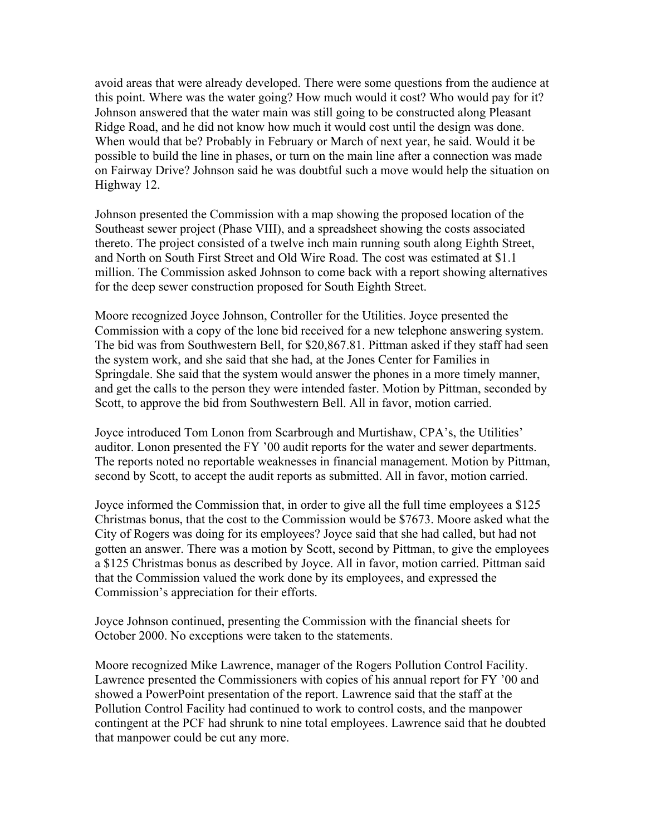avoid areas that were already developed. There were some questions from the audience at this point. Where was the water going? How much would it cost? Who would pay for it? Johnson answered that the water main was still going to be constructed along Pleasant Ridge Road, and he did not know how much it would cost until the design was done. When would that be? Probably in February or March of next year, he said. Would it be possible to build the line in phases, or turn on the main line after a connection was made on Fairway Drive? Johnson said he was doubtful such a move would help the situation on Highway 12.

Johnson presented the Commission with a map showing the proposed location of the Southeast sewer project (Phase VIII), and a spreadsheet showing the costs associated thereto. The project consisted of a twelve inch main running south along Eighth Street, and North on South First Street and Old Wire Road. The cost was estimated at \$1.1 million. The Commission asked Johnson to come back with a report showing alternatives for the deep sewer construction proposed for South Eighth Street.

Moore recognized Joyce Johnson, Controller for the Utilities. Joyce presented the Commission with a copy of the lone bid received for a new telephone answering system. The bid was from Southwestern Bell, for \$20,867.81. Pittman asked if they staff had seen the system work, and she said that she had, at the Jones Center for Families in Springdale. She said that the system would answer the phones in a more timely manner, and get the calls to the person they were intended faster. Motion by Pittman, seconded by Scott, to approve the bid from Southwestern Bell. All in favor, motion carried.

Joyce introduced Tom Lonon from Scarbrough and Murtishaw, CPA's, the Utilities' auditor. Lonon presented the FY '00 audit reports for the water and sewer departments. The reports noted no reportable weaknesses in financial management. Motion by Pittman, second by Scott, to accept the audit reports as submitted. All in favor, motion carried.

Joyce informed the Commission that, in order to give all the full time employees a \$125 Christmas bonus, that the cost to the Commission would be \$7673. Moore asked what the City of Rogers was doing for its employees? Joyce said that she had called, but had not gotten an answer. There was a motion by Scott, second by Pittman, to give the employees a \$125 Christmas bonus as described by Joyce. All in favor, motion carried. Pittman said that the Commission valued the work done by its employees, and expressed the Commission's appreciation for their efforts.

Joyce Johnson continued, presenting the Commission with the financial sheets for October 2000. No exceptions were taken to the statements.

Moore recognized Mike Lawrence, manager of the Rogers Pollution Control Facility. Lawrence presented the Commissioners with copies of his annual report for FY '00 and showed a PowerPoint presentation of the report. Lawrence said that the staff at the Pollution Control Facility had continued to work to control costs, and the manpower contingent at the PCF had shrunk to nine total employees. Lawrence said that he doubted that manpower could be cut any more.